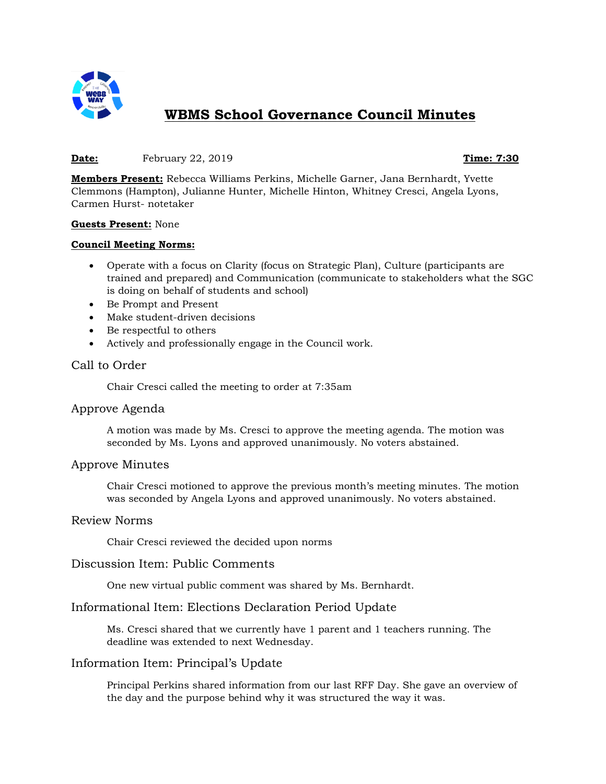

# **WBMS School Governance Council Minutes**

#### **Date:** February 22, 2019 **Time: 7:30**

**Members Present:** Rebecca Williams Perkins, Michelle Garner, Jana Bernhardt, Yvette Clemmons (Hampton), Julianne Hunter, Michelle Hinton, Whitney Cresci, Angela Lyons, Carmen Hurst- notetaker

#### **Guests Present:** None

#### **Council Meeting Norms:**

- Operate with a focus on Clarity (focus on Strategic Plan), Culture (participants are trained and prepared) and Communication (communicate to stakeholders what the SGC is doing on behalf of students and school)
- Be Prompt and Present
- Make student-driven decisions
- Be respectful to others
- Actively and professionally engage in the Council work.

# Call to Order

Chair Cresci called the meeting to order at 7:35am

### Approve Agenda

A motion was made by Ms. Cresci to approve the meeting agenda. The motion was seconded by Ms. Lyons and approved unanimously. No voters abstained.

#### Approve Minutes

Chair Cresci motioned to approve the previous month's meeting minutes. The motion was seconded by Angela Lyons and approved unanimously. No voters abstained.

#### Review Norms

Chair Cresci reviewed the decided upon norms

#### Discussion Item: Public Comments

One new virtual public comment was shared by Ms. Bernhardt.

### Informational Item: Elections Declaration Period Update

Ms. Cresci shared that we currently have 1 parent and 1 teachers running. The deadline was extended to next Wednesday.

### Information Item: Principal's Update

Principal Perkins shared information from our last RFF Day. She gave an overview of the day and the purpose behind why it was structured the way it was.